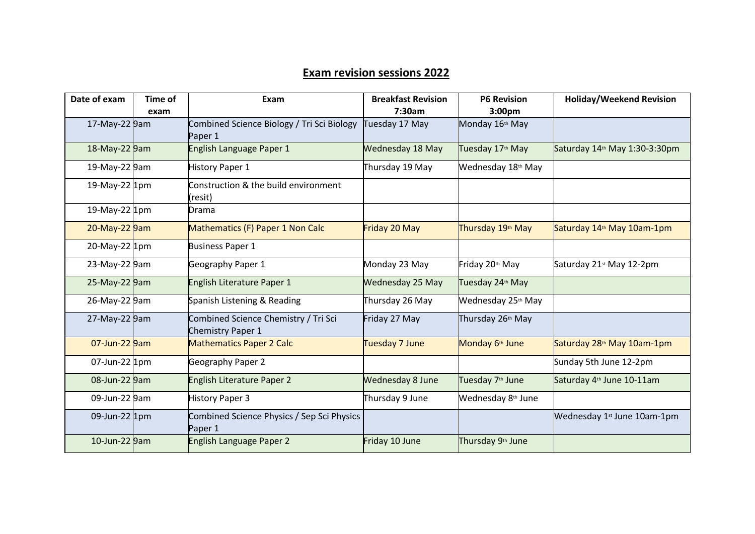## **Exam revision sessions 2022**

| Date of exam  | Time of | Exam                                                             | <b>Breakfast Revision</b> | <b>P6 Revision</b>             | <b>Holiday/Weekend Revision</b>           |
|---------------|---------|------------------------------------------------------------------|---------------------------|--------------------------------|-------------------------------------------|
|               | exam    |                                                                  | 7:30am                    | 3:00 <sub>pm</sub>             |                                           |
| 17-May-22 9am |         | Combined Science Biology / Tri Sci Biology<br>Paper 1            | Tuesday 17 May            | Monday 16th May                |                                           |
| 18-May-22 9am |         | English Language Paper 1                                         | Wednesday 18 May          | Tuesday 17 <sup>th</sup> May   | Saturday 14 <sup>th</sup> May 1:30-3:30pm |
| 19-May-22 9am |         | <b>History Paper 1</b>                                           | Thursday 19 May           | Wednesday 18th May             |                                           |
| 19-May-22 1pm |         | Construction & the build environment<br>resit)                   |                           |                                |                                           |
| 19-May-22 1pm |         | Drama                                                            |                           |                                |                                           |
| 20-May-22 9am |         | Mathematics (F) Paper 1 Non Calc                                 | Friday 20 May             | Thursday 19 <sup>th</sup> May  | Saturday 14 <sup>th</sup> May 10am-1pm    |
| 20-May-22 1pm |         | <b>Business Paper 1</b>                                          |                           |                                |                                           |
| 23-May-22 9am |         | Geography Paper 1                                                | Monday 23 May             | Friday 20th May                | Saturday 21st May 12-2pm                  |
| 25-May-22 9am |         | English Literature Paper 1                                       | <b>Wednesday 25 May</b>   | Tuesday 24th May               |                                           |
| 26-May-22 9am |         | Spanish Listening & Reading                                      | Thursday 26 May           | Wednesday 25 <sup>th</sup> May |                                           |
| 27-May-22 9am |         | Combined Science Chemistry / Tri Sci<br><b>Chemistry Paper 1</b> | Friday 27 May             | Thursday 26th May              |                                           |
| 07-Jun-22 9am |         | <b>Mathematics Paper 2 Calc</b>                                  | Tuesday 7 June            | Monday 6 <sup>th</sup> June    | Saturday 28 <sup>th</sup> May 10am-1pm    |
| 07-Jun-22 1pm |         | Geography Paper 2                                                |                           |                                | Sunday 5th June 12-2pm                    |
| 08-Jun-22 9am |         | <b>English Literature Paper 2</b>                                | <b>Wednesday 8 June</b>   | Tuesday 7 <sup>th</sup> June   | Saturday 4 <sup>th</sup> June 10-11am     |
| 09-Jun-22 9am |         | <b>History Paper 3</b>                                           | Thursday 9 June           | Wednesday 8 <sup>th</sup> June |                                           |
| 09-Jun-22 1pm |         | Combined Science Physics / Sep Sci Physics<br>Paper 1            |                           |                                | Wednesday 1st June 10am-1pm               |
| 10-Jun-22 9am |         | English Language Paper 2                                         | Friday 10 June            | Thursday 9th June              |                                           |